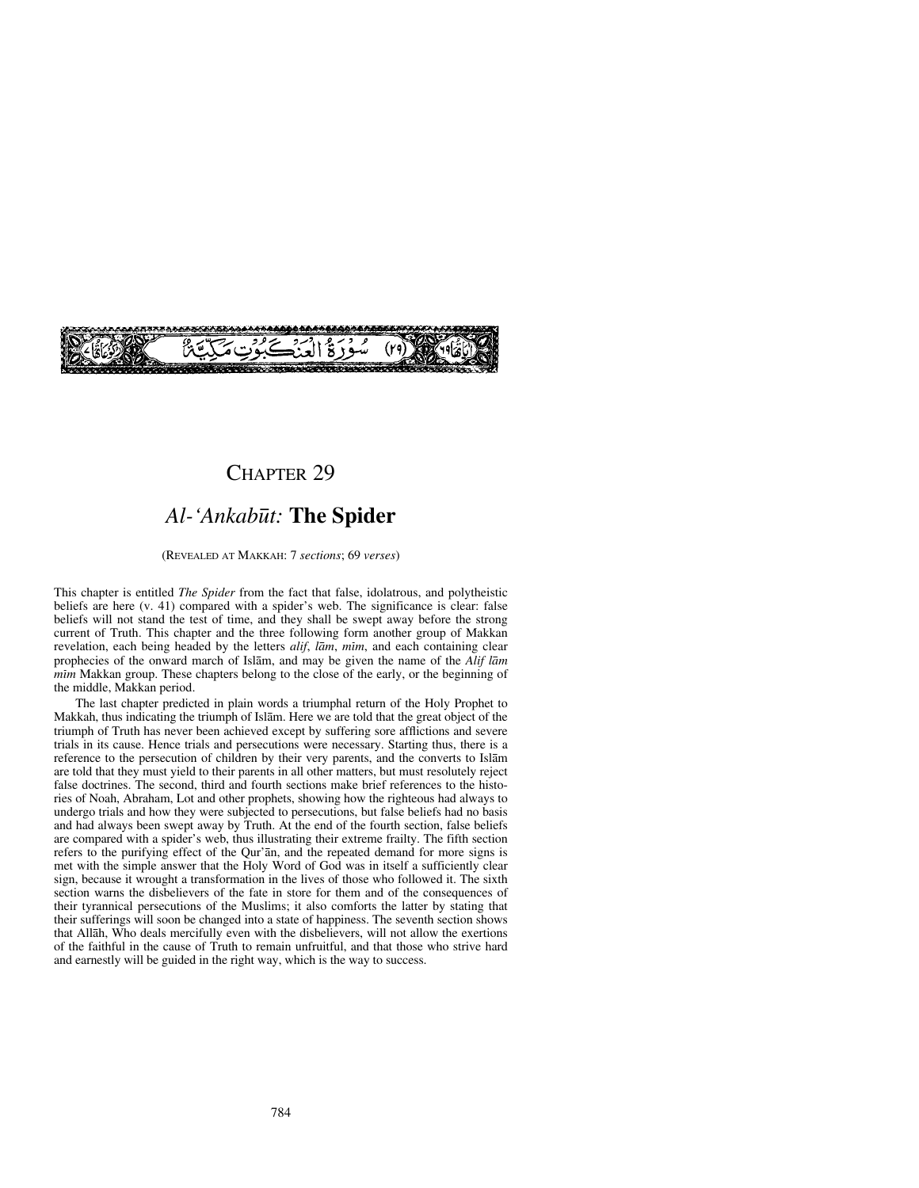

# CHAPTER 29

# *Al-'Ankab∂t:* **The Spider**

#### (REVEALED AT MAKKAH: 7 *sections*; 69 *verses*)

This chapter is entitled *The Spider* from the fact that false, idolatrous, and polytheistic beliefs are here (v. 41) compared with a spider's web. The significance is clear: false beliefs will not stand the test of time, and they shall be swept away before the strong current of Truth. This chapter and the three following form another group of Makkan revelation, each being headed by the letters *alif*, *lam*, *mim*, and each containing clear prophecies of the onward march of Islåm, and may be given the name of the *Alif låm mim* Makkan group. These chapters belong to the close of the early, or the beginning of the middle, Makkan period.

The last chapter predicted in plain words a triumphal return of the Holy Prophet to Makkah, thus indicating the triumph of Islåm. Here we are told that the great object of the triumph of Truth has never been achieved except by suffering sore afflictions and severe trials in its cause. Hence trials and persecutions were necessary. Starting thus, there is a reference to the persecution of children by their very parents, and the converts to Islåm are told that they must yield to their parents in all other matters, but must resolutely reject false doctrines. The second, third and fourth sections make brief references to the histories of Noah, Abraham, Lot and other prophets, showing how the righteous had always to undergo trials and how they were subjected to persecutions, but false beliefs had no basis and had always been swept away by Truth. At the end of the fourth section, false beliefs are compared with a spider's web, thus illustrating their extreme frailty. The fifth section refers to the purifying effect of the Qur'ån, and the repeated demand for more signs is met with the simple answer that the Holy Word of God was in itself a sufficiently clear sign, because it wrought a transformation in the lives of those who followed it. The sixth section warns the disbelievers of the fate in store for them and of the consequences of their tyrannical persecutions of the Muslims; it also comforts the latter by stating that their sufferings will soon be changed into a state of happiness. The seventh section shows that Allåh, Who deals mercifully even with the disbelievers, will not allow the exertions of the faithful in the cause of Truth to remain unfruitful, and that those who strive hard and earnestly will be guided in the right way, which is the way to success.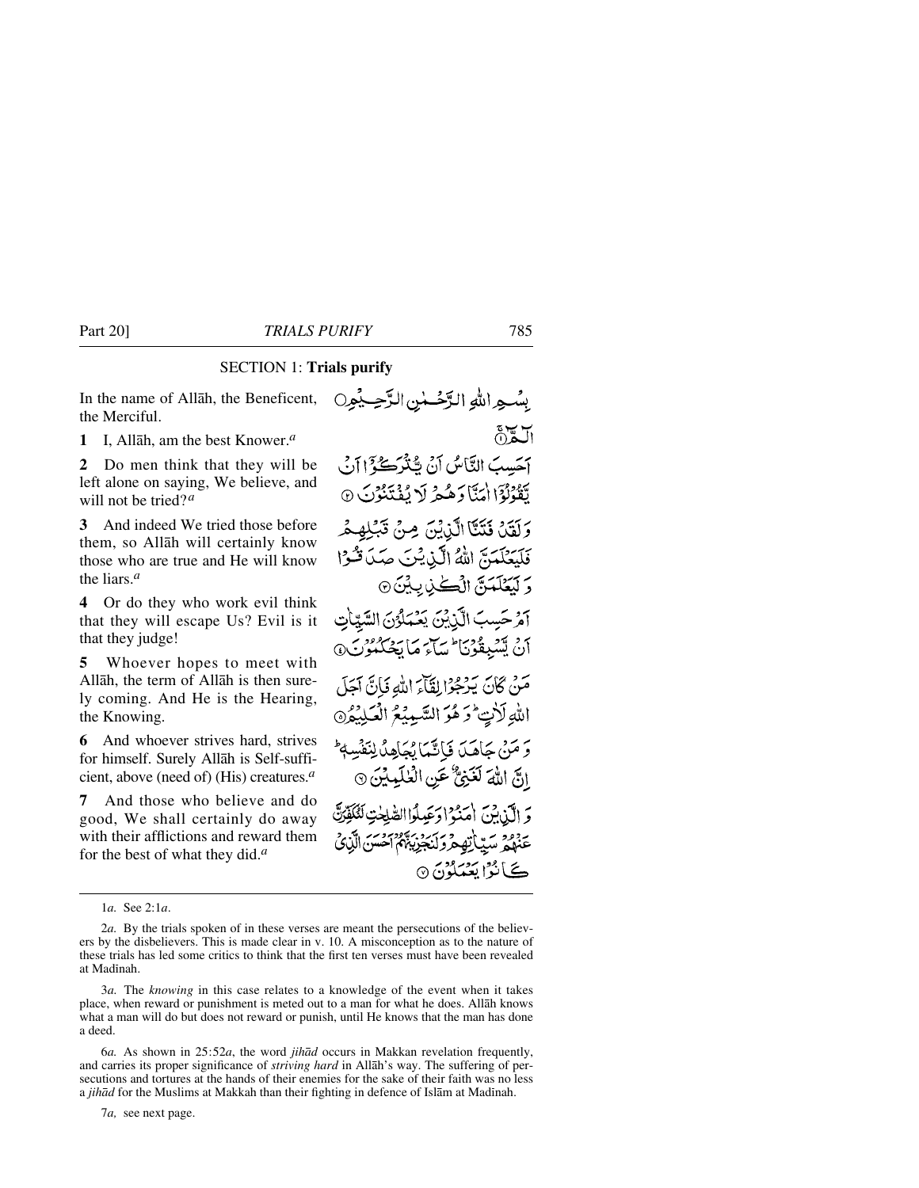# SECTION 1: **Trials purify**

In the name of Allåh, the Beneficent, the Merciful.

**1** I, Allåh, am the best Knower.*<sup>a</sup>*

**2** Do men think that they will be left alone on saying, We believe, and will not be tried?*<sup>a</sup>*

**3** And indeed We tried those before them, so Allåh will certainly know those who are true and He will know the liars.*<sup>a</sup>*

**4** Or do they who work evil think that they will escape Us? Evil is it that they judge!

**5** Whoever hopes to meet with Allåh, the term of Allåh is then surely coming. And He is the Hearing, the Knowing.

**6** And whoever strives hard, strives for himself. Surely Allåh is Self-sufficient, above (need of) (His) creatures.*<sup>a</sup>*

**7** And those who believe and do good, We shall certainly do away with their afflictions and reward them for the best of what they did.*<sup>a</sup>*

1*a.* See 2:1*a*.

7*a,* see next page.

بِسُجِرِ اللَّهِ الرَّحْسُنِ الرَّحِيَمُورِ ١ ألكان آَحَسِبَ الثَّاسُ أَنْ شِنْزَكُوْٓا أَنْ لِّقُوْلُوْٓا اٰمَنَّا دَهُمْ لَا يُفۡتَنُوۡنَ ۞ وَلَقَلْ فَتَنَّآ الَّذِيْنَ مِنْ تَبۡلِهِمْ فَلَيَعْلَمَنَّ اللَّهُ الَّذِيْنَ صَدَ قُوْا وَ لَيَعْلَمَنَّ الْكُنْ بِيْنَ ۞ آمْ حَسِبَ الَّذِيْنَ يَعْمَلُوْنَ السَّيِّأَتِ أَنْ يَسْبِقُوْنَا مِيَاتِمَ مَا يَحْكُمُوْنَ۞ مَنْ كَانَ يَدْجُوْا لِقَاَّءَ اللَّهُ فَإِنَّ آَجَلَ اللهِ لَأْتٍ وَهُوَ السَّيِّبِيُّعُ الْعَلِيْمُ ﴾ وَ مَنْ جَاهَدَ فَإِنَّمَا يُجَاهِدُ لِنَفْسِهٖ ۚ إِنَّ اللَّهَ لَغَنِيٌّ عَنِ الْعٰلَيِّيِّنَ ۞ وَ الَّذِينَ أَمَدُهُ! دَعَيلُوا الصَّلَحٰتِ لَلْكَفِّدَتَّ عَنْهُمْ سَيِّياتِهِمْ وَكَيَجْزِيبُهُمْ أَحْسَنَ الَّذِي ڪَانُوُ اي**عُن**گونَ ۞

<sup>2</sup>*a.* By the trials spoken of in these verses are meant the persecutions of the believers by the disbelievers. This is made clear in v. 10. A misconception as to the nature of these trials has led some critics to think that the first ten verses must have been revealed at Madinah.

<sup>3</sup>*a.* The *knowing* in this case relates to a knowledge of the event when it takes place, when reward or punishment is meted out to a man for what he does. Allåh knows what a man will do but does not reward or punish, until He knows that the man has done a deed.

<sup>6</sup>*a.* As shown in 25:52*a*, the word *jihåd* occurs in Makkan revelation frequently, and carries its proper significance of *striving hard* in Allåh's way. The suffering of persecutions and tortures at the hands of their enemies for the sake of their faith was no less a *jihād* for the Muslims at Makkah than their fighting in defence of Islām at Madinah.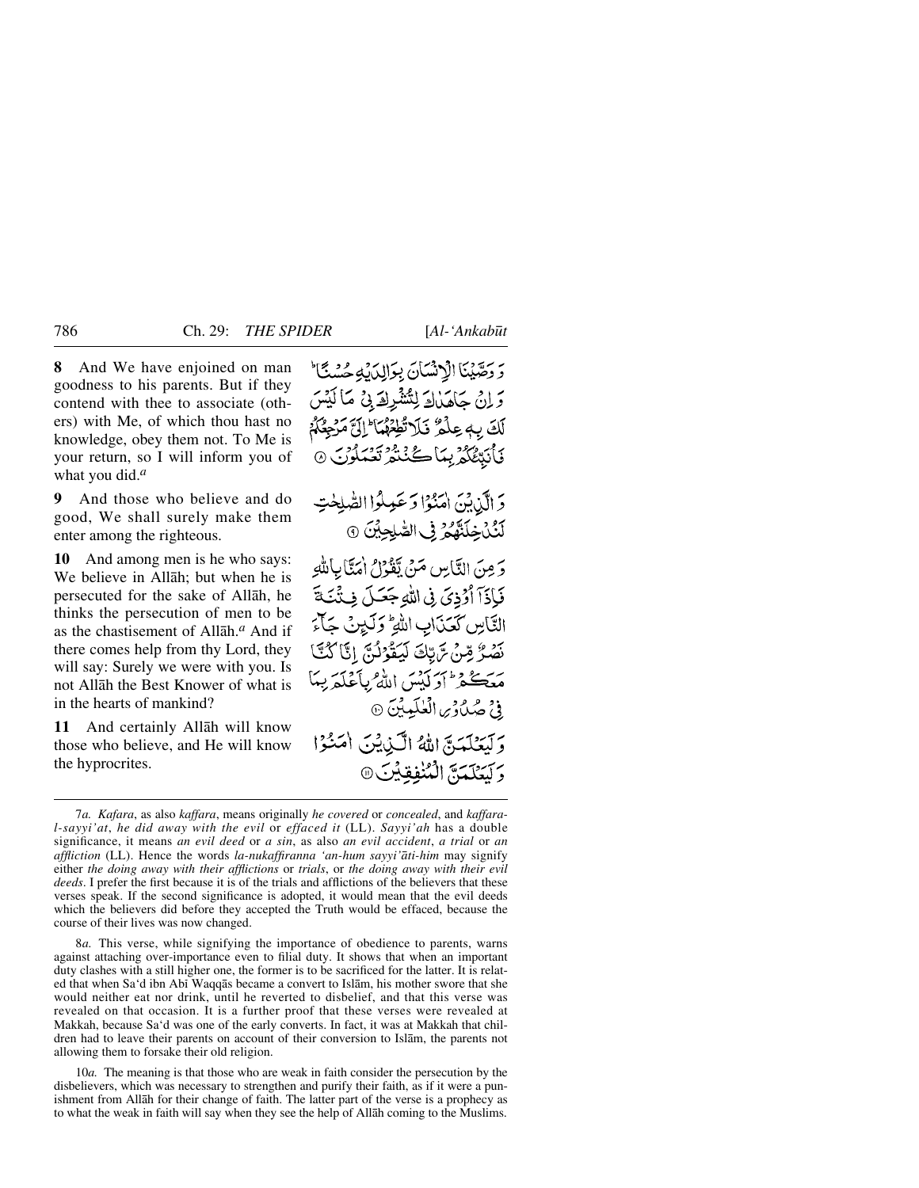**8** And We have enjoined on man goodness to his parents. But if they contend with thee to associate (others) with Me, of which thou hast no knowledge, obey them not. To Me is your return, so I will inform you of what you did.*<sup>a</sup>*

**9** And those who believe and do good, We shall surely make them enter among the righteous.

**10** And among men is he who says: We believe in Allåh; but when he is persecuted for the sake of Allåh, he thinks the persecution of men to be as the chastisement of Allåh.*<sup>a</sup>* And if there comes help from thy Lord, they will say: Surely we were with you. Is not Allåh the Best Knower of what is in the hearts of mankind?

**11** And certainly Allåh will know those who believe, and He will know the hyprocrites.

وَ وَصِّيْنَا الْإِنْسَانَ بِوَالِدَيْهِ حُسْنًا َ وَ إِنْ حَاهَدْكَ لِتَشْرِكَ بِيْ مَا لَيْسَ لَكَ بِ عِلْمٌ فَلَا تُطِعْهُمَا ۖ إِلَيَّ مَرْحِعٌكُمْ نَأْنَتْتُكُمْ بِيَاكُنْتُمْ تَعْبَدُوْنَ ۞

وَ الَّذِيْنَ اٰمَنُوْا وَعَمِلُوا الصّْلِحْتِ لَنُكْرِخِلَنَّهُمْ فِى الصَّلِحِينَ 9

وَ مِنَ النَّاسِ مَنْ يَقْوَلُ امْنَّابِاللَّهِ فَإِذَآ أَوَٰذِيَ فِى اللَّهِ جَعَلَ فِئَنَكَ التَّاسِ كَعَذَابِ اللَّهِ ۚ وَلَيْنَ جَأَءَ نَصْرُ مِّنْ تَرَبُّكَ لَيَقُوْلُنَّ إِنَّا كُنَّا مَعَڪْفِرٌ أَدَ لَيْسَ اللَّهُ بِأَعْلَمَ بِيلَ فِيْ صُلُ وَمِن الْعُلَيِّيِّينَ ۞ وَكَنْتَكَتَبَةَ اللَّهُ الْكَيْنِيْنَ أَصَنُوْا وَكَتَعَلَّمَةً إِلَيْنَفَقِيْنَ @

8*a.* This verse, while signifying the importance of obedience to parents, warns against attaching over-importance even to filial duty. It shows that when an important duty clashes with a still higher one, the former is to be sacrificed for the latter. It is related that when Sa'd ibn Abß Waqqås became a convert to Islåm, his mother swore that she would neither eat nor drink, until he reverted to disbelief, and that this verse was revealed on that occasion. It is a further proof that these verses were revealed at Makkah, because Sa'd was one of the early converts. In fact, it was at Makkah that children had to leave their parents on account of their conversion to Islåm, the parents not allowing them to forsake their old religion.

10*a.* The meaning is that those who are weak in faith consider the persecution by the disbelievers, which was necessary to strengthen and purify their faith, as if it were a punishment from Allåh for their change of faith. The latter part of the verse is a prophecy as to what the weak in faith will say when they see the help of Allåh coming to the Muslims.

<sup>7</sup>*a. Kafara*, as also *kaffara*, means originally *he covered* or *concealed*, and *kaffaral-sayyi'at*, *he did away with the evil* or *effaced it* (LL). *Sayyi'ah* has a double significance, it means *an evil deed* or *a sin*, as also *an evil accident*, *a trial* or *an affliction* (LL). Hence the words *la-nukaffiranna 'an-hum sayyi'åti-him* may signify either *the doing away with their afflictions* or *trials*, or *the doing away with their evil deeds*. I prefer the first because it is of the trials and afflictions of the believers that these verses speak. If the second significance is adopted, it would mean that the evil deeds which the believers did before they accepted the Truth would be effaced, because the course of their lives was now changed.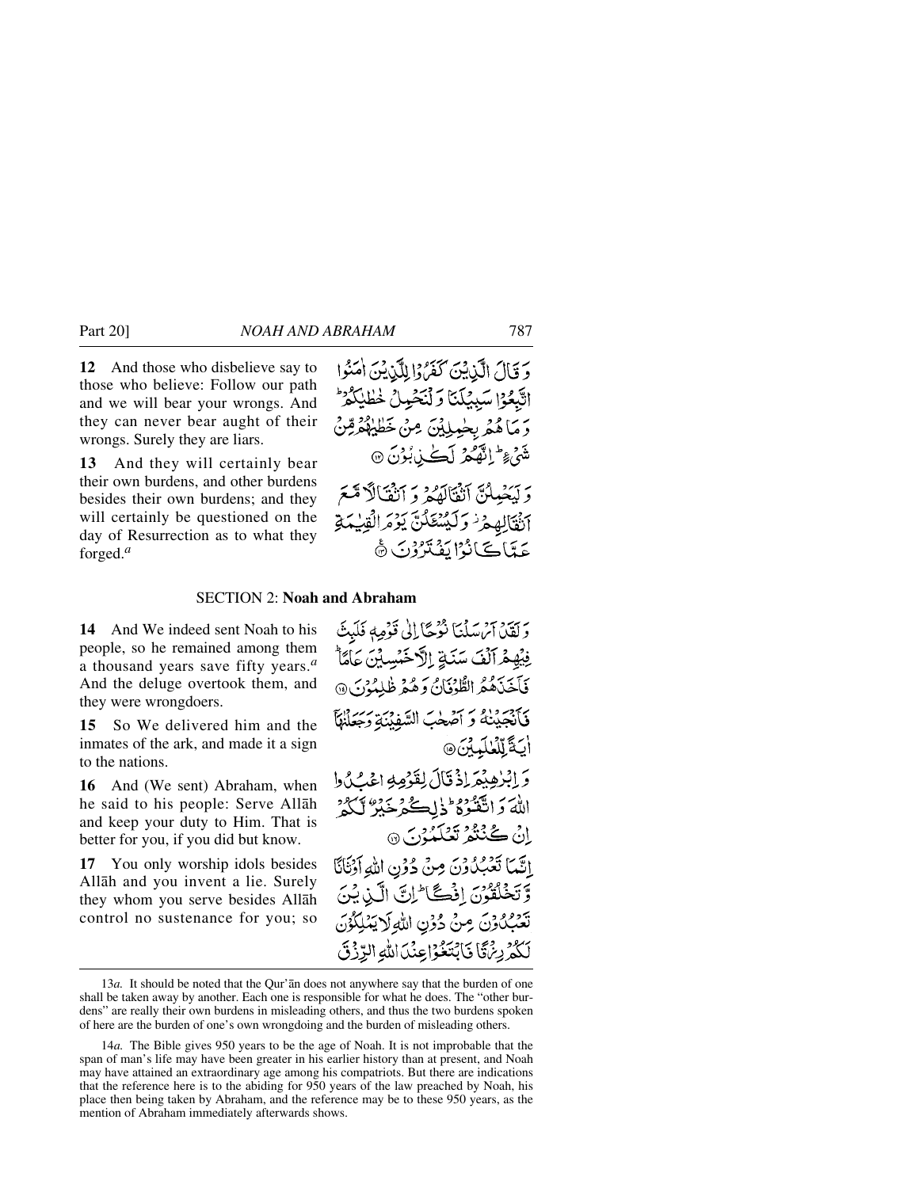**12** And those who disbelieve say to those who believe: Follow our path and we will bear your wrongs. And they can never bear aught of their wrongs. Surely they are liars.

**13** And they will certainly bear their own burdens, and other burdens besides their own burdens; and they will certainly be questioned on the day of Resurrection as to what they forged.*<sup>a</sup>*

### SECTION 2: **Noah and Abraham**

**14** And We indeed sent Noah to his people, so he remained among them a thousand years save fifty years.*<sup>a</sup>* And the deluge overtook them, and they were wrongdoers.

**15** So We delivered him and the inmates of the ark, and made it a sign to the nations.

**16** And (We sent) Abraham, when he said to his people: Serve Allåh and keep your duty to Him. That is better for you, if you did but know.

**17** You only worship idols besides Allåh and you invent a lie. Surely they whom you serve besides Allåh control no sustenance for you; so

وَلَقَيْنَ آَئِنَ سَلْنَا نُؤْجًا إِلَى قَوْمِهِ فَلَبِثَ فِيُهِمْ آلْفَ سَنَةٍ إِلَّا خَبْسِبْنَ عَامًا \* فَأَخَذَهُمُ الطُّوْفَانُ وَهُمْ ظٰلِمُوْنَ @ فَأَنْجَلْنَهُ وَ أَصْلَبَ السَّفِنِيَّةِ وَحَعَلْنِكَم اْبَةَ لِّكْنِكُمِيْنَ ۞ وَ إِبْرٰهِبْمَهِ إِذْ قَالَ لِقَدْمِهِ اعْبُ كُيْ إِ اللَّهَ وَاتَّقَّنُوْهُ ۖ ذٰا لِكُنْهُ خَبْرٌ ۚ لَكُنُّهُ ۚ انْ ڪُنْنُوْ تَعْلَمُهُنَّ 9 إِنَّمَا تَعْبُدُونَ مِنْ دُوْنِ اللَّهِ أَوْنَانَا وَتَخْلَقُونَ إِذْكَتَا لِنَّ الَّيْنِ يُنَ تَعَبِّكُونَ مِنْ دُوْنِ اللَّهِ لَا يَمْلِكُوْنَ لَكُمْرِيِّئَ فَابْتَغُوْاعِنَدَاللَّهِ الرَّزْقَ

<sup>13</sup>*a.* It should be noted that the Qur'ån does not anywhere say that the burden of one shall be taken away by another. Each one is responsible for what he does. The "other burdens" are really their own burdens in misleading others, and thus the two burdens spoken of here are the burden of one's own wrongdoing and the burden of misleading others.

<sup>14</sup>*a.* The Bible gives 950 years to be the age of Noah. It is not improbable that the span of man's life may have been greater in his earlier history than at present, and Noah may have attained an extraordinary age among his compatriots. But there are indications that the reference here is to the abiding for 950 years of the law preached by Noah, his place then being taken by Abraham, and the reference may be to these 950 years, as the mention of Abraham immediately afterwards shows.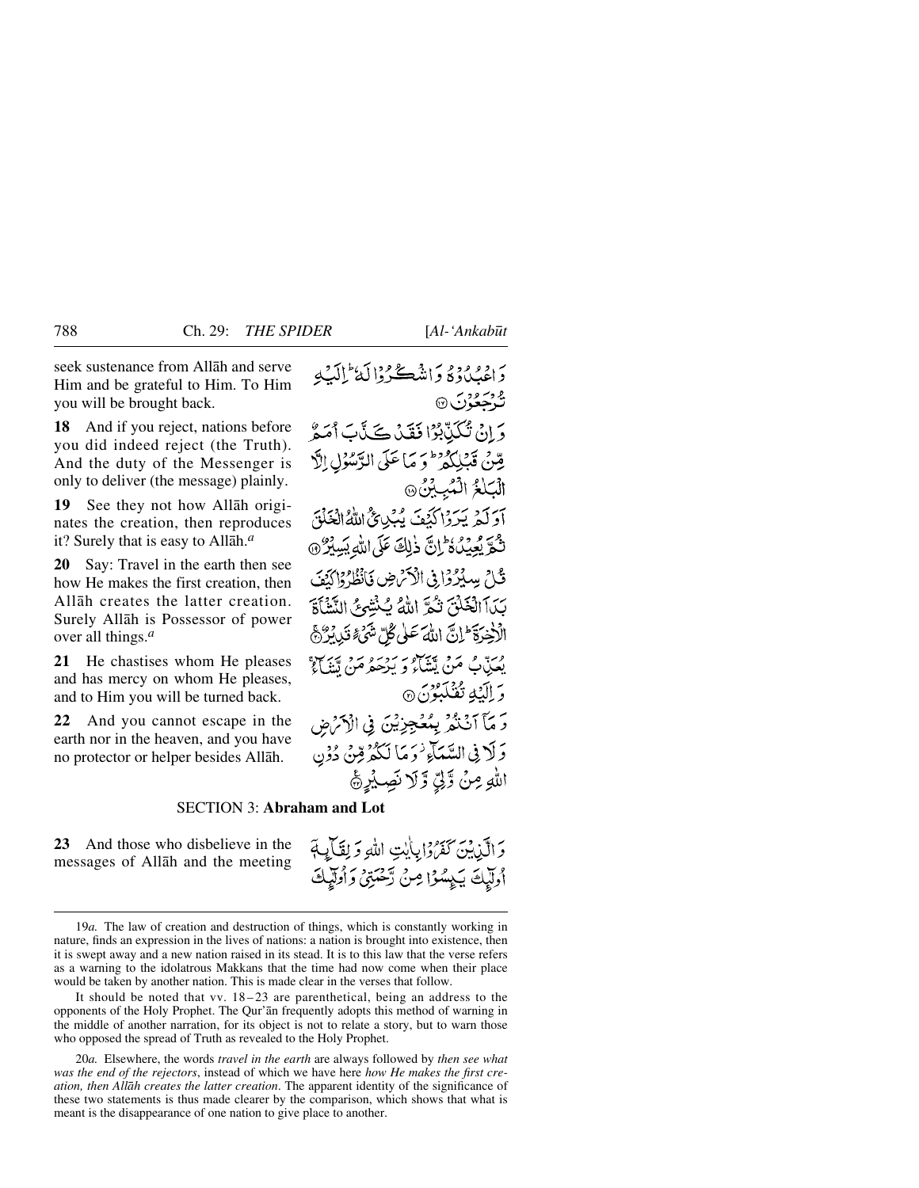seek sustenance from Allåh and serve Him and be grateful to Him. To Him you will be brought back.

**18** And if you reject, nations before you did indeed reject (the Truth). And the duty of the Messenger is only to deliver (the message) plainly.

**19** See they not how Allåh originates the creation, then reproduces it? Surely that is easy to Allåh.*<sup>a</sup>*

**20** Say: Travel in the earth then see how He makes the first creation, then Allåh creates the latter creation. Surely Allåh is Possessor of power over all things.*<sup>a</sup>*

**21** He chastises whom He pleases and has mercy on whom He pleases, and to Him you will be turned back.

**22** And you cannot escape in the earth nor in the heaven, and you have no protector or helper besides Allåh.

دادورد و داننيڪردالکا الکيه و<br>ترجعۇن ® وَ إِنْ تُكَيِّدٌ بِمُوْا فَقَدْ كَيْدًا أَمَعٌ قِنْ قَبْلِكُمْ وَ مَا عَلَى الرَّسُوْلِ إِلَّا الْكِلْعُ الْمُبِينَ، آوَلَمْ يَرَدْاكَنْفَ يُبُدِئُ اللَّهُ الْغَلْقَ ثَّكْرَ يُعِيدُهُ ثَٰٓ إِنَّ ذٰلِكَ عَلَى اللهِ بَسِيْرٌ ۞ قُبْلَ بِسِبْرُدُ إِنِّي الْأَمْرِضِ فَأَنْظُرُ وَإِكْتَفَ بَيْدَآ الْخَلْقِ نَكْرَ اللَّهُ يُكْتِنُوعُ النَّشْأَةَ الْأَخِيرَةَ إِنَّ اللَّهَ عَلَى كُلِّ شَيْءٍ قَبِي بِرُّهِجَ مِنَّ مِنْ يَتَبَاهُ بِيَ يَرْسُو مِنْ تَتَنَاءُ ۖ وَ إِلَيْكِهِ تُفْكَيِبُوْنَ۞ رَ مَآ اَنۡنُمۡ بِمُعۡجِزِيۡنَ فِی الۡاَمۡنِ ضِ وَلَا فِي السَّمَآءِ ٰ وَ مَا لَكُمْ قِنْ دُوْن اللهِ مِنْ وَلِّيِّ وَلَا نَصِيْبِرِيُّ

## SECTION 3: **Abraham and Lot**

**23** And those who disbelieve in the messages of Allåh and the meeting وَالَّذِينَ كَفَرُدًا بِأَيْتِ اللَّهِ وَلِقَالِيَةٍ أُولَيْكَ يَكِسُوْا مِنْ رَّحْمَتِيْ وَأُولَيْكَ

20*a.* Elsewhere, the words *travel in the earth* are always followed by *then see what was the end of the rejectors*, instead of which we have here *how He makes the first creation, then Allåh creates the latter creation*. The apparent identity of the significance of these two statements is thus made clearer by the comparison, which shows that what is meant is the disappearance of one nation to give place to another.

<sup>19</sup>*a.* The law of creation and destruction of things, which is constantly working in nature, finds an expression in the lives of nations: a nation is brought into existence, then it is swept away and a new nation raised in its stead. It is to this law that the verse refers as a warning to the idolatrous Makkans that the time had now come when their place would be taken by another nation. This is made clear in the verses that follow.

It should be noted that vv. 18–23 are parenthetical, being an address to the opponents of the Holy Prophet. The Qur'ån frequently adopts this method of warning in the middle of another narration, for its object is not to relate a story, but to warn those who opposed the spread of Truth as revealed to the Holy Prophet.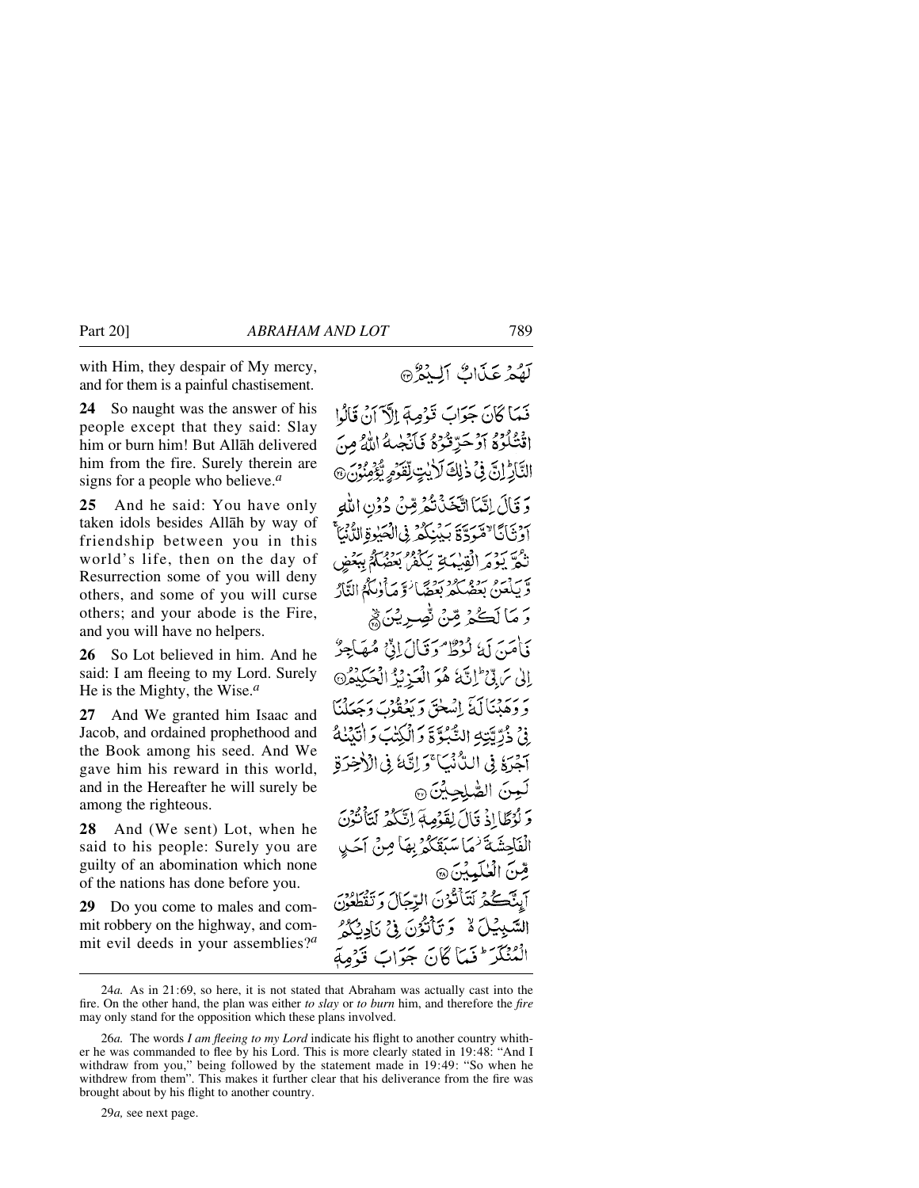with Him, they despair of My mercy, and for them is a painful chastisement.

**24** So naught was the answer of his people except that they said: Slay him or burn him! But Allåh delivered him from the fire. Surely therein are signs for a people who believe.*<sup>a</sup>*

**25** And he said: You have only taken idols besides Allåh by way of friendship between you in this world's life, then on the day of Resurrection some of you will deny others, and some of you will curse others; and your abode is the Fire, and you will have no helpers.

**26** So Lot believed in him. And he said: I am fleeing to my Lord. Surely He is the Mighty, the Wise.*<sup>a</sup>*

**27** And We granted him Isaac and Jacob, and ordained prophethood and the Book among his seed. And We gave him his reward in this world, and in the Hereafter he will surely be among the righteous.

**28** And (We sent) Lot, when he said to his people: Surely you are guilty of an abomination which none of the nations has done before you.

**29** Do you come to males and commit robbery on the highway, and commit evil deeds in your assemblies?*<sup>a</sup>*

# لَّهُمْ عَذَاكٌ أَلِيْهُمْ ۞

فَعَاكَانَ جَوَابَ قَوْصِهِٓ إِلَّآ َأَنْ قَالُوْا اَقْتُلُوْمُ آَوْحَرِّقُوْهُ فَأَنْجِيهُ اللَّهُ مِنَ التَّارُ إِنَّ فِي ذَٰلِكَ لَأَيْتٍ لِّقَوْمٍ يُؤْمِنُونَ@ وَ قَالَ إِنَّمَا اتَّخَذْتُمْ قِنْ دُوْنِ اللَّهِ آَوْنَانَّا ٌ مَّوَدَّةَ بَيْنِكُمْ فِي الْعَيْوَةِ الدُّنْيَا تَكُمَّ يَوْمَرْ الْقِيْبَ بَدَيْهُمْ بِعَضَّلَةُ بِبَعْضٍ وَّ يَكْعَنُ بِيَوْمِ كَمْ يَعْضَا وَ صَأْدِيَكُمُ النَّارُ وَ مَا لَڪُمْ مِّنْ تُصِيرِيْنَ ۞ دَأْمَينَ أَمَدُ لَوْطٌ مُرْقَبَالَ إِذْنِ مُمْهَاجِيزٌ إِلَىٰ سَ بِيٍّ ۖ إِنَّهَٰ هُوَ الْعَذِبْذُ الْمَكِيْفُرِ۞ بر رسم دين آيئي لسطي ويعقوب وَجَعَلْنَا ِ فِي ذُرِّيَّتِهِ النَّبُوَّةَ وَالْكِتْبَ وَ اتَّدَٰنَٰهُ ۖ آَخِرَهُ فِي اللَّهُ نَبَا ۚ وَ إِنَّكَ فِي الْأَخِرَةِ لَعِنَ الصَّلِحِيِّنَ ۞ وَلَوْطًا إِذْ قَالَ لِقَوْمِهِ ۚ إِنَّكُمْ لَيَأْتُوْنَ الْفَاحِشَةَ <sup>ر</sup>ِّمَا سَبَقَكُمْ بِهَا مِنْ آجَب قِّنَ الْعٰلَيِيِّنَ @ أَبِيَّكُمْ لَتَأْتُوْنَ الرِّجَالَ وَنَقْدَ السَّبِيْلَ لَهْ وَتَأْتُوُنَ فِي نَادِيْكُمُ الْمُنْكَرَ ۖ فَمَآ كَانَ جَوَابَ قَوۡ

29*a,* see next page.

<sup>24</sup>*a.* As in 21:69, so here, it is not stated that Abraham was actually cast into the fire. On the other hand, the plan was either *to slay* or *to burn* him, and therefore the *fire* may only stand for the opposition which these plans involved.

<sup>26</sup>*a.* The words *I am fleeing to my Lord* indicate his flight to another country whither he was commanded to flee by his Lord. This is more clearly stated in 19:48: "And I withdraw from you," being followed by the statement made in 19:49: "So when he withdrew from them". This makes it further clear that his deliverance from the fire was brought about by his flight to another country.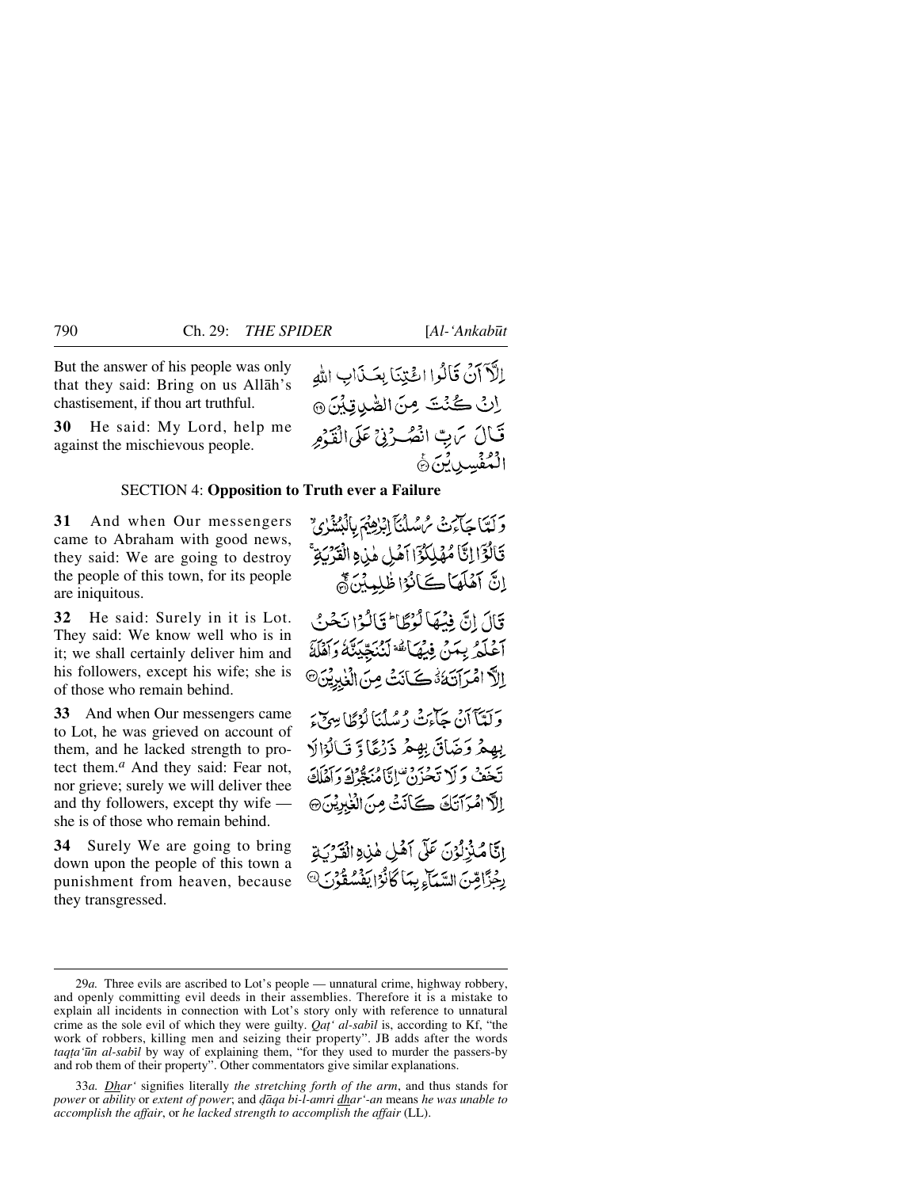But the answer of his people was only that they said: Bring on us Allåh's chastisement, if thou art truthful.

**30** He said: My Lord, help me against the mischievous people.

### SECTION 4: **Opposition to Truth ever a Failure**

**31** And when Our messengers came to Abraham with good news, they said: We are going to destroy the people of this town, for its people are iniquitous.

**32** He said: Surely in it is Lot. They said: We know well who is in it; we shall certainly deliver him and his followers, except his wife; she is of those who remain behind.

**33** And when Our messengers came to Lot, he was grieved on account of them, and he lacked strength to protect them.*<sup>a</sup>* And they said: Fear not, nor grieve; surely we will deliver thee and thy followers, except thy wife she is of those who remain behind.

**34** Surely We are going to bring down upon the people of this town a punishment from heaven, because they transgressed.

الكَّ آنَ قَالُوا الْحَيْنَا بِعَـذَابِ اللهِ اِنْ كُنْتَ مِنَ الصَّدِينَ @ قَالَ يَرِبِّ انْصُوْنِيٌّ عَلَى الْقَوْمِ الْمُفْسِدِينَ جَ

وَلَّعَا جَائِمَتْ سُمُسُلُنَآ إِبْرٰهِيْمَ بِالْبُشَذِٰيِّ قَالُوَٓا إِنَّا مُهْلِكُوَّا آَمُلِ هٰزِهِ الْقَرْيَةِ اِنَّ آَهُلَهَاكَانُوْا ظُلِمِيْنَ ُمَّ قَالَ إِنَّ فِيْهَا لَوْطًا ۚ قَالَوْا نَحْنُ آعْلَمْ بِمَنْ فِبْهَاتُهُ لَنُنْجِّيَنَّهُ وَأَهْلَهُ الاً امْرَآتَهُ فَآنَتْ مِنَ الْغِيرِيْنَ® وَلَعَبَآَ أَنْ جَآءَتْ دُسُلُنَا لَوْظَا مِهْرَىٰءَ

بِهِمْ وَضَاقَ بِهِمْ ذَرْعًا وَ قَالُوْالَا تَخَفْ وَلَا تَحْزَنْ إِنَّامُنَكِّرْكَ دَآهَلَكَ إِلاَّ امْرَآتَكَ كَأَنَتْ مِنَ الْغَٰبِيِّينَ۞

إِنَّا مُّذْرُدُنَ عَلَى أَهْلِ هٰذِهِ الْقَرْبَةِ رِجُزَّامِّنَ السَّيَآءِ بِيَا كَانُوَ ايَفْسُقُوْنَ®

<sup>29</sup>*a.* Three evils are ascribed to Lot's people — unnatural crime, highway robbery, and openly committing evil deeds in their assemblies. Therefore it is a mistake to explain all incidents in connection with Lot's story only with reference to unnatural crime as the sole evil of which they were guilty. *Qat' al-sabil* is, according to Kf, "the work of robbers, killing men and seizing their property". JB adds after the words taqta'ūn al-sabīl by way of explaining them, "for they used to murder the passers-by and rob them of their property". Other commentators give similar explanations.

<sup>33</sup>*a. Dhar'* signifies literally *the stretching forth of the arm*, and thus stands for *power* or *ability* or *extent of power*; and *˙åqa bi-l-amri dhar'-an* means *he was unable to accomplish the affair*, or *he lacked strength to accomplish the affair* (LL).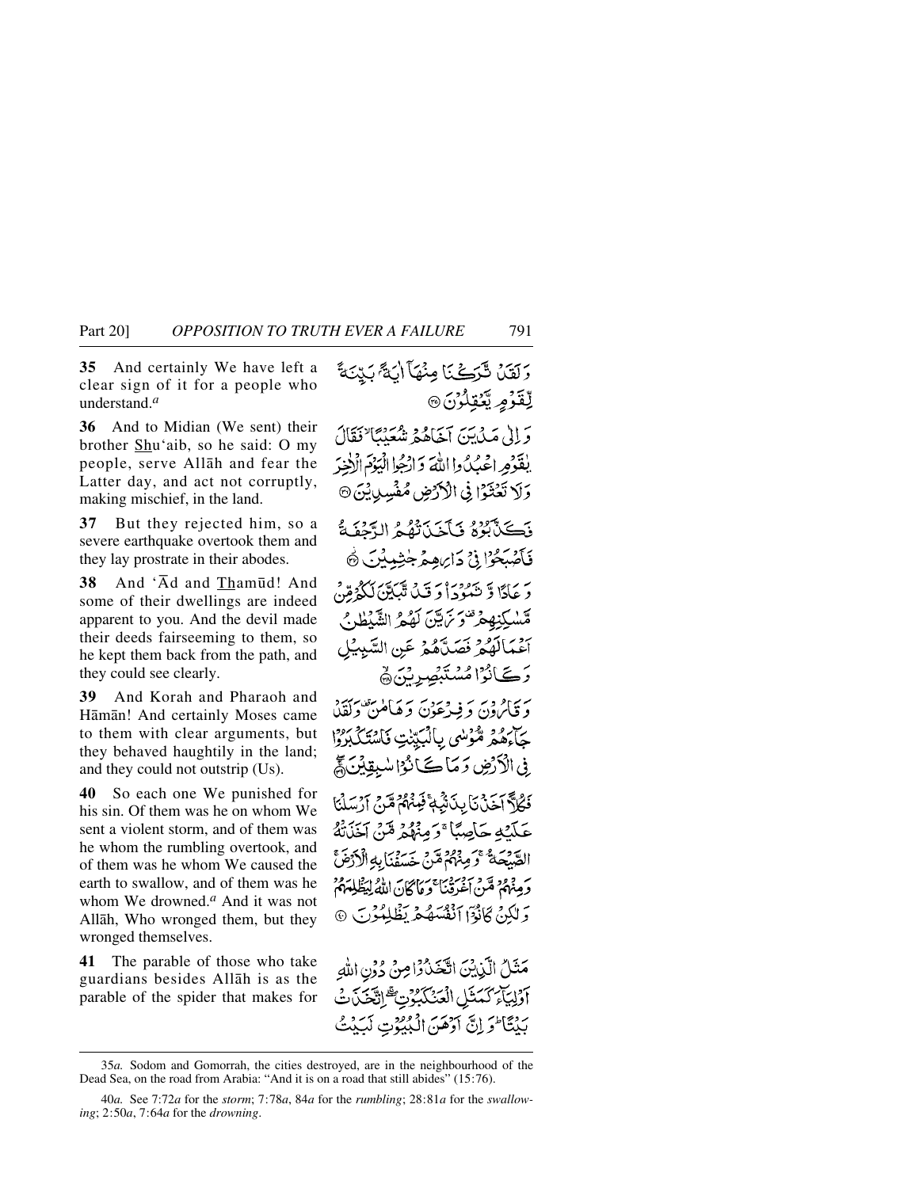**35** And certainly We have left a clear sign of it for a people who understand.*<sup>a</sup>*

**36** And to Midian (We sent) their brother Shu'aib, so he said: O my people, serve Allåh and fear the Latter day, and act not corruptly, making mischief, in the land.

**37** But they rejected him, so a severe earthquake overtook them and they lay prostrate in their abodes.

**38** And 'Åd and Tham∂d! And some of their dwellings are indeed apparent to you. And the devil made their deeds fairseeming to them, so he kept them back from the path, and they could see clearly.

**39** And Korah and Pharaoh and Håmån! And certainly Moses came to them with clear arguments, but they behaved haughtily in the land; and they could not outstrip (Us).

**40** So each one We punished for his sin. Of them was he on whom We sent a violent storm, and of them was he whom the rumbling overtook, and of them was he whom We caused the earth to swallow, and of them was he whom We drowned.*<sup>a</sup>* And it was not Allåh, Who wronged them, but they wronged themselves.

**41** The parable of those who take guardians besides Allåh is as the parable of the spider that makes for

وَلَقَيْنَ شَرَكَنَا مِنْهَآ ابَةً بَيِّنَةً <u>لِ</u>ْقَرُمِ يَّتَوْلُوْنَ @ وَإِلَىٰ مَيْنَ يَنْ آخَاهُمْ شَعَبْنَا نَقَالَ يلقَوْمِ اعْبُدُوا اللَّهَ وَارْجُوا الْيَوْمَ الْأَخِيرَ وَلَا تَعْتَدُا فِي الْأَرْضِ مُفْسِدِيْنَ۞ ذَكَنَّ بَعْرُهُ فَبَكَّنَ تَقُبُّهُ الدَّحْفَةُ فَأَصْبَحُوْا فِي دَارِ مِعْرَ جٰشِينُ ۞ رَ يَادًا وَ تَنْهُوْدَاْ دَ قَبْلَ تَنْبَيَّنَ لَكُوْمِيْنَ قسليندهفر تناتيج لكثع الشَّلْط مج أَعْمَالَهُمْ فَصَلَّهُمْ عَنِ السَّبِيْلِ رُڪَانُوا مُسْتَبِصِرِنَّ ۾ ريءه وبر به ويدعون وَهَامْنِ وَلَقَلْ جَآءَهُمْ مُّؤْسُى بِالْمَبْنِتِ فَاسْتَكْبَرُوْا فِي الْأَرْضِ وَمَاكَ أَنْوَا سُبِقِينَ لَمْ فَكُلَّةً أَخَذْنَا بِدَنَّيْهِةً فَبِينَهُمْ مَّرٍّ } [نسلَنَا عَلَّكَهُ حَاصِبًا ۚ وَمِنْهُمْ مِّنْ آخَذَتْهُ الصَّيْحَةُ وَمِنْهُمْ مِّنْ خَسَفْنَابِهِ الْأَرْضَ وَمِنْهُمْ مِّنْ أَغْرِقْنَا ۚ وَمَا كَانَ اللَّهُ لِيَظُّلِّهُمْ وَلَٰكِنۡ كَانُوۡٓاَ ٱنۡفُسَهُمۡ یَظۡلِمُوۡنَ

مَثَلُ الَّزِيْنَ اتَّخَذُوْامِنُ دُونِ اللهِ آَوَلِيَآْءَ كَمَنَّلِ الْعَنْكَبُوِّتِ ۗ إِنَّعَنَدَتَ بَيْتَا وَلِنَّ آوَهَنَ الْبُيُونِ لَبَيْتُ

<sup>35</sup>*a.* Sodom and Gomorrah, the cities destroyed, are in the neighbourhood of the Dead Sea, on the road from Arabia: "And it is on a road that still abides" (15:76).

<sup>40</sup>*a.* See 7:72*a* for the *storm*; 7:78*a*, 84*a* for the *rumbling*; 28:81*a* for the *swallowing*; 2:50*a*, 7:64*a* for the *drowning*.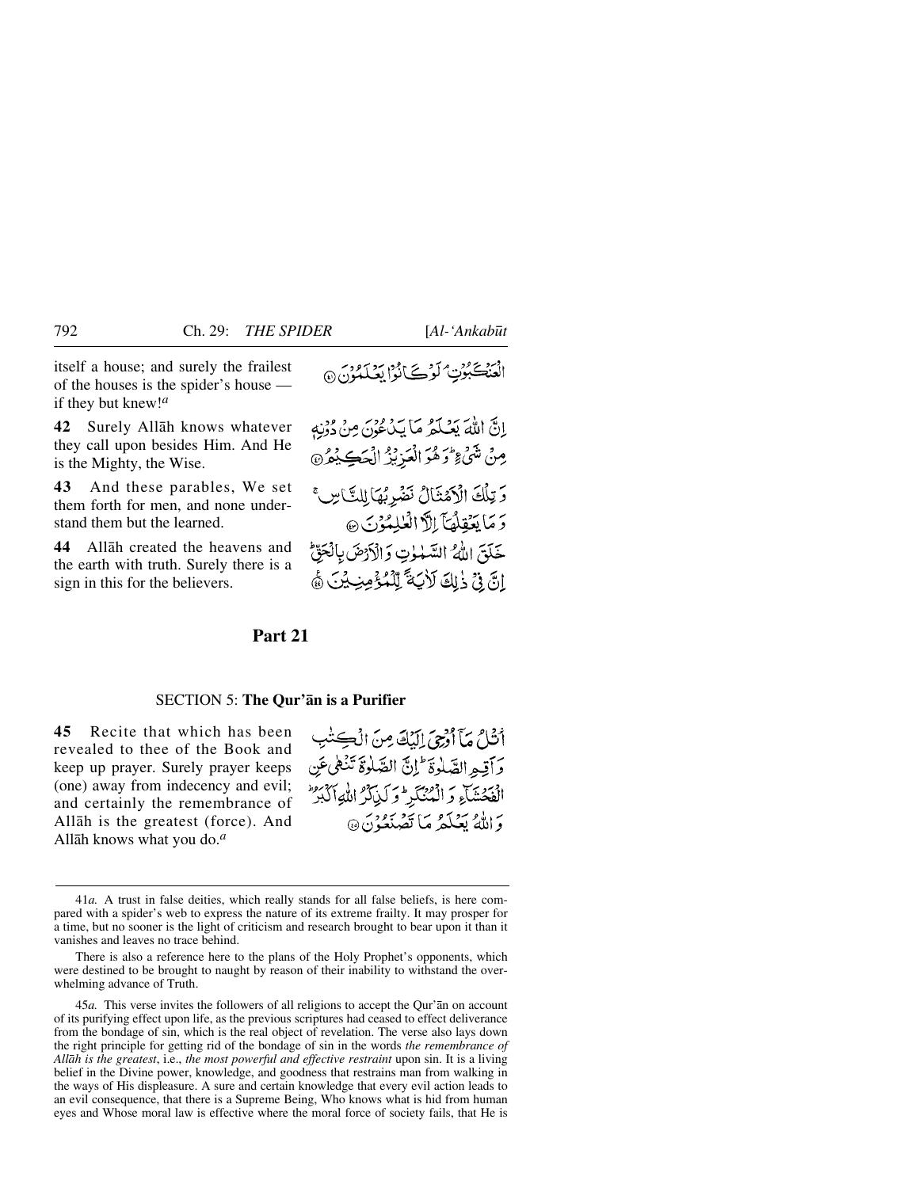itself a house; and surely the frailest of the houses is the spider's house if they but knew!*<sup>a</sup>*

**42** Surely Allåh knows whatever they call upon besides Him. And He is the Mighty, the Wise.

**43** And these parables, We set them forth for men, and none understand them but the learned.

**44** Allåh created the heavens and the earth with truth. Surely there is a sign in this for the believers.

الْعَنْڪَبُوُتِ ۡ لَوۡ کَےٓاَنُوۡا بَعۡکِمُوۡنَ ۞

إِنَّ اللَّهَ يَعْلَمُ مَا يَدْعُونَ مِنْ دُوْنِهِ مِنْ شَيْءٍ وَهُوَ الْعَزِيْزُ الْحَكِيْمُرُ۞ وَتِلْكَ الْأَمْثَالُ نَضْرِبُهَا لِلنَّاسِ ۚ دَ مَا يَعْقِلُهَا الْأَأَلَٰفُلِيَوْنَ ۞ خَلَقَ اللَّهُ السَّمْوٰتِ وَالْأَرْضَ بِالْحَقِّ انَّ فِي ذَلِكَ لَأَبَةَ لِّلْمُؤْمِنِيَيْنَ ۞

## **Part 21**

### SECTION 5: **The Qur'ån is a Purifier**

**45** Recite that which has been revealed to thee of the Book and keep up prayer. Surely prayer keeps (one) away from indecency and evil; and certainly the remembrance of Allåh is the greatest (force). And Allåh knows what you do.*<sup>a</sup>*

أَنْثَلُ مَآ أَرْجِيَ إِلَيْكَ مِنَ الْڪِتَٰبِ وأقبو الصّلوة للّ الصّلوة تَنْهَى عَنِ الفحشاء والمنكر وكياتر اللواكبر وَ اللَّهُ بِعَدْكُمْ مَا يَعْرَبُودُنَّ ۞

There is also a reference here to the plans of the Holy Prophet's opponents, which were destined to be brought to naught by reason of their inability to withstand the overwhelming advance of Truth.

45*a.* This verse invites the followers of all religions to accept the Qur'ån on account of its purifying effect upon life, as the previous scriptures had ceased to effect deliverance from the bondage of sin, which is the real object of revelation. The verse also lays down the right principle for getting rid of the bondage of sin in the words *the remembrance of Allåh is the greatest*, i.e., *the most powerful and effective restraint* upon sin. It is a living belief in the Divine power, knowledge, and goodness that restrains man from walking in the ways of His displeasure. A sure and certain knowledge that every evil action leads to an evil consequence, that there is a Supreme Being, Who knows what is hid from human eyes and Whose moral law is effective where the moral force of society fails, that He is

<sup>41</sup>*a.* A trust in false deities, which really stands for all false beliefs, is here compared with a spider's web to express the nature of its extreme frailty. It may prosper for a time, but no sooner is the light of criticism and research brought to bear upon it than it vanishes and leaves no trace behind.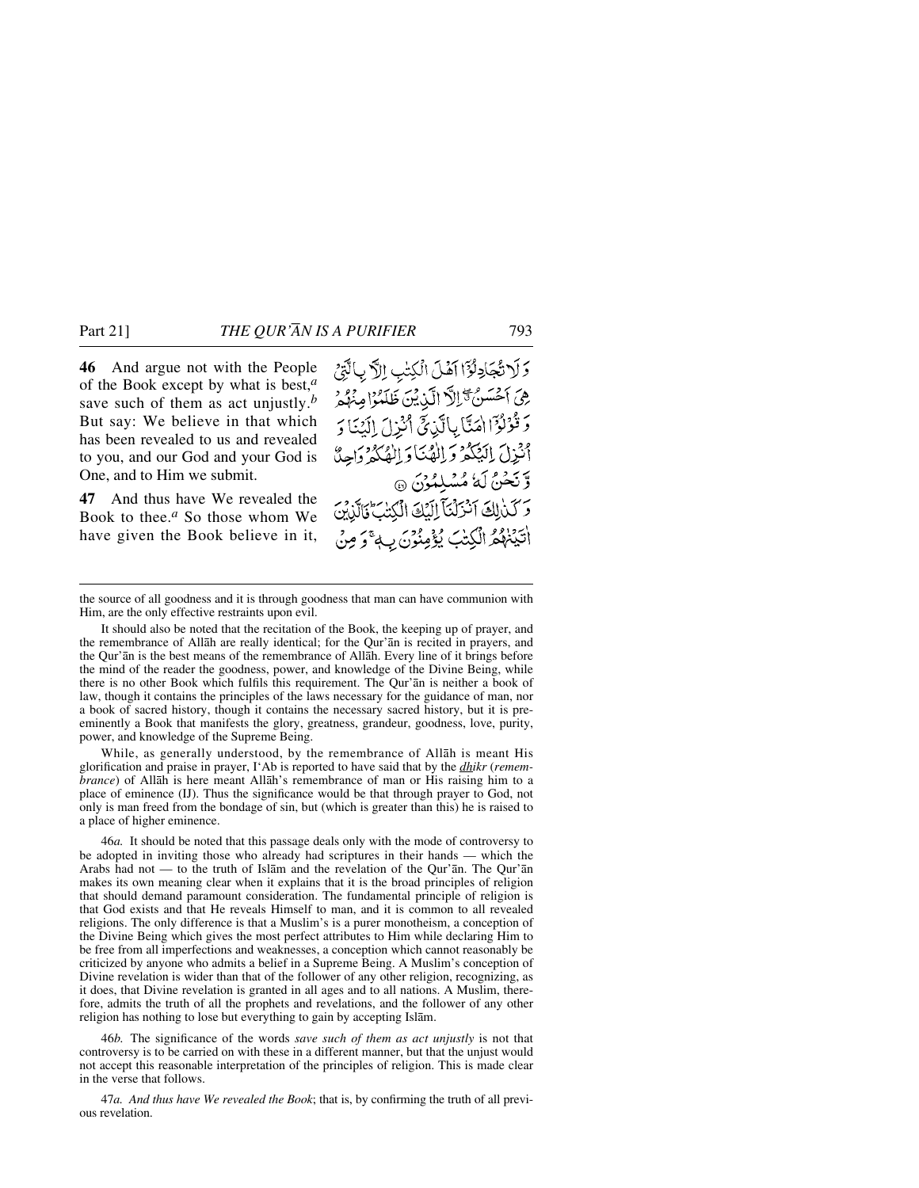**46** And argue not with the People of the Book except by what is best,*<sup>a</sup>* save such of them as act unjustly.*<sup>b</sup>* But say: We believe in that which has been revealed to us and revealed to you, and our God and your God is One, and to Him we submit.

**47** And thus have We revealed the Book to thee.*<sup>a</sup>* So those whom We have given the Book believe in it,

وَلَاتُجَادِلُوَّا آَهُلَ الْكِتْبِ اِلَّا بِالَّتِيْ هِيَ أَخْسَنُ ثَّرَالًا الَّذِيْنَ ظَلَمُوْا مِنْهُمْ وَقُوْلُوْٓا امَنَّا بِالَّذِيَّ أَنْزِلَ إِلَيْنَا وَ أَنْزِلَ الْيَكُمُ وَالْهُنَا وَالْهُكُمُ وَاحِنَّ وَّ نَحْنُ لَهُ مُسْلِمُوْنَ ۞ وَكَذَٰرِلِكَ آَنَزَلْنَآَ إِلَيْكَ الْكِتْبَ فَالَّذِينَ الْتَيۡنَاهُمُ الۡكِتَابَ يُؤۡمِنُوۡنَ بِ4ٌ وَصِنۡ

the source of all goodness and it is through goodness that man can have communion with Him, are the only effective restraints upon evil.

It should also be noted that the recitation of the Book, the keeping up of prayer, and the remembrance of Allåh are really identical; for the Qur'ån is recited in prayers, and the Qur'ån is the best means of the remembrance of Allåh. Every line of it brings before the mind of the reader the goodness, power, and knowledge of the Divine Being, while there is no other Book which fulfils this requirement. The Qur'ån is neither a book of law, though it contains the principles of the laws necessary for the guidance of man, nor a book of sacred history, though it contains the necessary sacred history, but it is preeminently a Book that manifests the glory, greatness, grandeur, goodness, love, purity, power, and knowledge of the Supreme Being.

While, as generally understood, by the remembrance of Allåh is meant His glorification and praise in prayer, I'Ab is reported to have said that by the *dhikr* (*remembrance*) of Allåh is here meant Allåh's remembrance of man or His raising him to a place of eminence (IJ). Thus the significance would be that through prayer to God, not only is man freed from the bondage of sin, but (which is greater than this) he is raised to a place of higher eminence.

46*a.* It should be noted that this passage deals only with the mode of controversy to be adopted in inviting those who already had scriptures in their hands — which the Arabs had not — to the truth of Islåm and the revelation of the Qur'ån. The Qur'ån makes its own meaning clear when it explains that it is the broad principles of religion that should demand paramount consideration. The fundamental principle of religion is that God exists and that He reveals Himself to man, and it is common to all revealed religions. The only difference is that a Muslim's is a purer monotheism, a conception of the Divine Being which gives the most perfect attributes to Him while declaring Him to be free from all imperfections and weaknesses, a conception which cannot reasonably be criticized by anyone who admits a belief in a Supreme Being. A Muslim's conception of Divine revelation is wider than that of the follower of any other religion, recognizing, as it does, that Divine revelation is granted in all ages and to all nations. A Muslim, therefore, admits the truth of all the prophets and revelations, and the follower of any other religion has nothing to lose but everything to gain by accepting Islåm.

46*b.* The significance of the words *save such of them as act unjustly* is not that controversy is to be carried on with these in a different manner, but that the unjust would not accept this reasonable interpretation of the principles of religion. This is made clear in the verse that follows.

47*a. And thus have We revealed the Book*; that is, by confirming the truth of all previous revelation.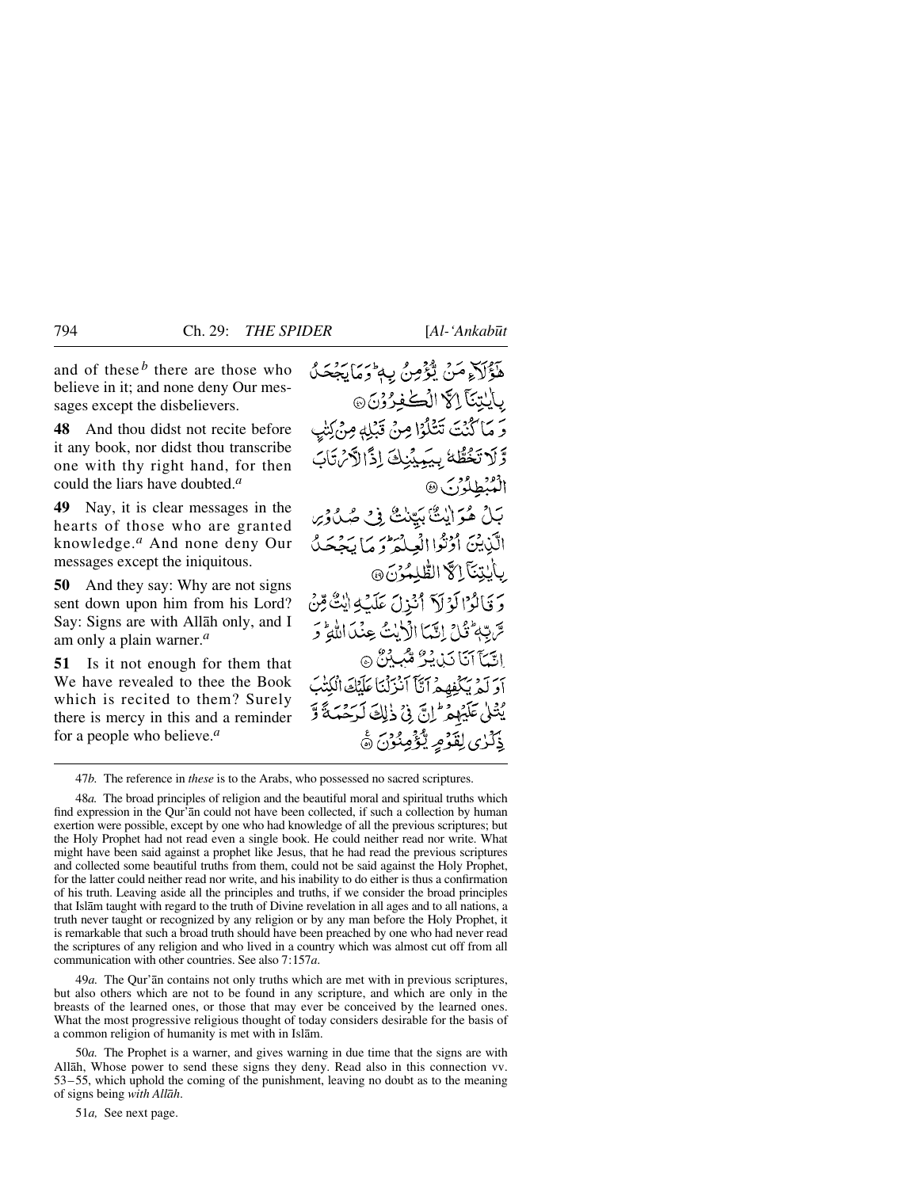and of these  $<sup>b</sup>$  there are those who</sup> believe in it; and none deny Our messages except the disbelievers.

**48** And thou didst not recite before it any book, nor didst thou transcribe one with thy right hand, for then could the liars have doubted.*<sup>a</sup>*

**49** Nay, it is clear messages in the hearts of those who are granted knowledge.*<sup>a</sup>* And none deny Our messages except the iniquitous.

**50** And they say: Why are not signs sent down upon him from his Lord? Say: Signs are with Allåh only, and I am only a plain warner.*<sup>a</sup>*

**51** Is it not enough for them that We have revealed to thee the Book which is recited to them? Surely there is mercy in this and a reminder for a people who believe.*<sup>a</sup>*

هَؤُلَاءِ مَنْ يُؤْمِنُ بِهِ وَمَايَجْحَلُ بِإِيْتِنَا إِلَّا الْكَافِرُوْنَ @ وَ مَا كُنْتَ تَتَلَوُّا مِنْ قَبْلِهِ مِنْ كِتْبِ وَّلَا تَخُطُّهُ بِيَمِيْنِكَ إِذًا لَّكُنْ تَابَ الْمُنْطِلُوْرَ ﴾ بَلْ هُوَ اللَّ بَيِّنْتُ فِي صُلُوْس الَّذِيْنَ أَوْثَوْا الْعِلْمَ وَ مَا يَجْحَلُ بِأَبِيْتِنَآ إِلَهَّ الطَّلِمُوْنَ ۞ وَ قَالَوْا لَوْ لَا أَنْذِلَ عَلَيْكِهِ إِيكَ مِّنْ سِّ بِّهِمْ ثَلِيٍّ إِنَّهَا الْأَرْبُثُ عِنْدَاللَّهِمْ وَ اتِّيَا آنَا دَبْ يُرُّ مِّبِيْنٌ ۞ أَوَ لَهِ يَكْفِهِهِ ٱتَّأَ ٱنْزَلْنَا عَلَيْكَ ٱلْكُتْبَ يْتْلَى عَلَيْهِمْ إِنَّ فِي ذَٰلِكَ لَرَحْمَةً وَّ ذِكْرٰى لِقَوْمِ يُّؤْمِنُوْنَ ﴾

47*b.* The reference in *these* is to the Arabs, who possessed no sacred scriptures.

48*a.* The broad principles of religion and the beautiful moral and spiritual truths which find expression in the Qur'ån could not have been collected, if such a collection by human exertion were possible, except by one who had knowledge of all the previous scriptures; but the Holy Prophet had not read even a single book. He could neither read nor write. What might have been said against a prophet like Jesus, that he had read the previous scriptures and collected some beautiful truths from them, could not be said against the Holy Prophet, for the latter could neither read nor write, and his inability to do either is thus a confirmation of his truth. Leaving aside all the principles and truths, if we consider the broad principles that Islåm taught with regard to the truth of Divine revelation in all ages and to all nations, a truth never taught or recognized by any religion or by any man before the Holy Prophet, it is remarkable that such a broad truth should have been preached by one who had never read the scriptures of any religion and who lived in a country which was almost cut off from all communication with other countries. See also 7:157*a*.

49*a.* The Qur'ån contains not only truths which are met with in previous scriptures, but also others which are not to be found in any scripture, and which are only in the breasts of the learned ones, or those that may ever be conceived by the learned ones. What the most progressive religious thought of today considers desirable for the basis of a common religion of humanity is met with in Islåm.

50*a.* The Prophet is a warner, and gives warning in due time that the signs are with Allåh, Whose power to send these signs they deny. Read also in this connection vv. 53–55, which uphold the coming of the punishment, leaving no doubt as to the meaning of signs being *with Allåh*.

51*a,* See next page.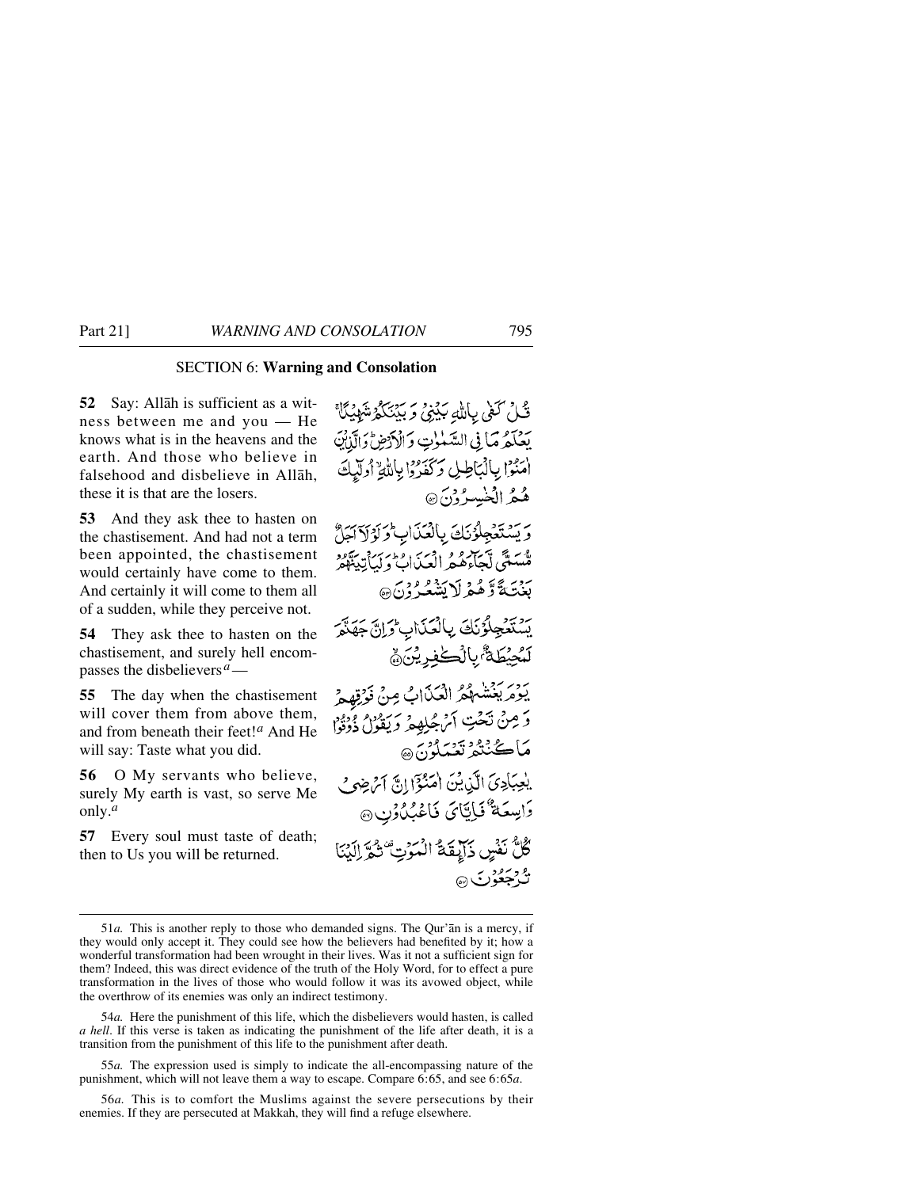## SECTION 6: **Warning and Consolation**

**52** Say: Allåh is sufficient as a witness between me and you — He knows what is in the heavens and the earth. And those who believe in falsehood and disbelieve in Allåh, these it is that are the losers.

**53** And they ask thee to hasten on the chastisement. And had not a term been appointed, the chastisement would certainly have come to them. And certainly it will come to them all of a sudden, while they perceive not.

**54** They ask thee to hasten on the chastisement, and surely hell encompasses the disbelievers*a*—

**55** The day when the chastisement will cover them from above them, and from beneath their feet!*<sup>a</sup>* And He will say: Taste what you did.

**56** O My servants who believe, surely My earth is vast, so serve Me only.*<sup>a</sup>*

**57** Every soul must taste of death; then to Us you will be returned.

قُلْ كَفَى بِاللَّهِ بَيْنِيُ وَبَيْنَكُمْ شَهْيُكًا يضكرُ مَا فِي السَّنْزِتِ وَالْأَرْضُ وَالَّذَانِ امْنُوْا بِالْمَاطِلِ وَكَفَرُوْا بِاللَّهِ أُولَّيكَ هُعُرُ الْخَبِسِيرُ وْنَ ۞ رسوتهجلۇنك بالغذاب وكولاكترا ة سَعَّى تَسَلِّرهُ مِنْ دِيرَ وَإِدْبَرَ وَسَعَدَهُ وَ<br>مَّسَعَّى لَجَاءَهُ هِ الْعِيانِ وَلَيِأَتِينَهُمْ بَيْنَةً وَّهُمْ لَا بَشْعَهُ دْنَ ۞ - يَسْتَعْجِلُوُنَكَ بِالْعَذَابِ وَإِنَّ جَهَنَّمَ *ڷ*ؠؙڿؽؘڟڐٞٛۥۑٲڷٙٛؗٮڬڣڔؿؙڹۜ۞ روبر بعضهه الكناب مِنْ نَوْتِهِمْ وَ مِنْ تَحْتِ أَنْ جُلِهِهِ وَيَقُوْلُ ذَوْوٌو مَاڪُنِنْدُ تَعْبَلُونَ ۞ يلجِبَادِيَ الَّذِينَ امْنُؤَا إِنَّ آمُ ضِيَ دَامِيعَةٌ فَإِيَّايَ فَاعْبُدُونِ ۞ كُلُّ نَفْسٍ ذَابِقَةُ الْمَوْتِ ۚ ثُمَّ إِلَيْنَا <u>ه دېمون ه</u>

54*a.* Here the punishment of this life, which the disbelievers would hasten, is called *a hell*. If this verse is taken as indicating the punishment of the life after death, it is a transition from the punishment of this life to the punishment after death.

55*a.* The expression used is simply to indicate the all-encompassing nature of the punishment, which will not leave them a way to escape. Compare 6:65, and see 6:65*a*.

56*a.* This is to comfort the Muslims against the severe persecutions by their enemies. If they are persecuted at Makkah, they will find a refuge elsewhere.

<sup>51</sup>*a.* This is another reply to those who demanded signs. The Qur'ån is a mercy, if they would only accept it. They could see how the believers had benefited by it; how a wonderful transformation had been wrought in their lives. Was it not a sufficient sign for them? Indeed, this was direct evidence of the truth of the Holy Word, for to effect a pure transformation in the lives of those who would follow it was its avowed object, while the overthrow of its enemies was only an indirect testimony.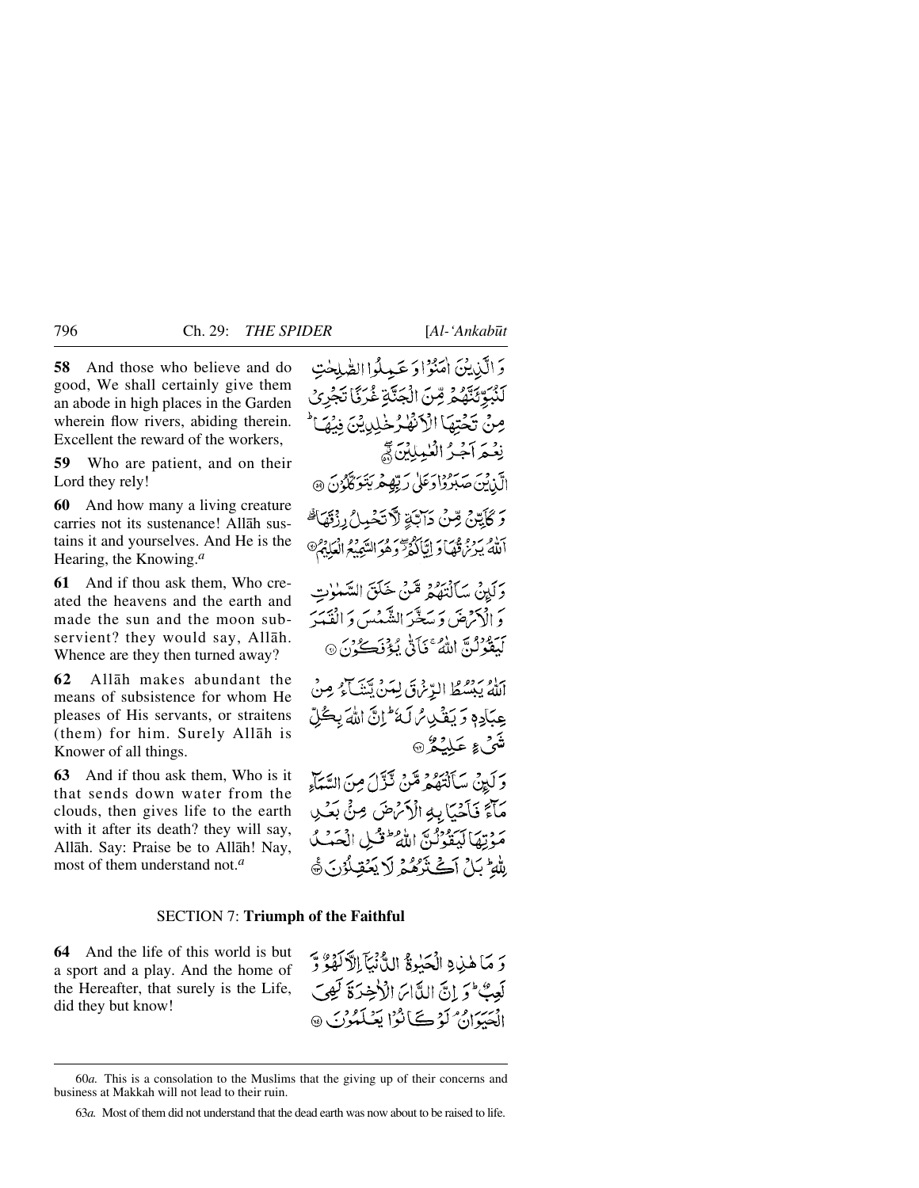**58** And those who believe and do good, We shall certainly give them an abode in high places in the Garden wherein flow rivers, abiding therein. Excellent the reward of the workers,

**59** Who are patient, and on their Lord they rely!

**60** And how many a living creature carries not its sustenance! Allåh sustains it and yourselves. And He is the Hearing, the Knowing.*<sup>a</sup>*

**61** And if thou ask them, Who created the heavens and the earth and made the sun and the moon subservient? they would say, Allåh. Whence are they then turned away?

**62** Allåh makes abundant the means of subsistence for whom He pleases of His servants, or straitens (them) for him. Surely Allåh is Knower of all things.

**63** And if thou ask them, Who is it that sends down water from the clouds, then gives life to the earth with it after its death? they will say, Allåh. Say: Praise be to Allåh! Nay, most of them understand not.*<sup>a</sup>*

وَالَّذِينَىٰ اٰمَنُوٰۡٓاوَ عَبِيلُواالصَّلِحٰتِ لَّنْبَوِّئَنَّهُمْ مِّنَ الْجَنَّةِ غُرَبًّا تَجْرِي مِنْ تَحْتِهَا الْأَنْفِٰرُ خَٰلِدِيْنَ فِيْهَ نِعْبِهِ أَجْبُرُ الْعُمِلِلِينَ فِي الَّذِيْنَ صَبَرُوْا دَعَلَىٰ رَبِّهِ مِرْيَتَوَكَّكُونَ ۞ وَكَأَيَّنَّ مِّنْ دَآتَةِ لَآتَخْبِدْ إِذْقَهَا ۚ أَلَّهُ يَرْتُرُّقُهَا وَ إِيَّالُّهُمَّ وَهُوَ التَّعِيْعُ الْعَلِّهُ ﴾ وَلَيْنَ سَأَلْتَفُهُمْ قَبْنَ خَلَقَ السَّنْواتِ دَ الْإِحْرَضَ وَ سَعَّبَهُ الشَّهْيِبِيِّ وَ الْفَيْدَ لَيَقُوْلُنَّ اللَّهُ ۚ نَأَنَّىٰ يُؤْنَكُونَ ۞ اللَّهُ يَبْسُطُ الدِّنْرَقَ لِيَنْ يَتَنَبَّ لَمْ مِنْ عِيَادِهٖ وَ يَغْدِسُ لَهُ ۚ إِنَّ اللَّهَ بِكُلِّ تَّعَىٰ عَمِيلَيْكُمْ ۞ وَلَيِنْ سَأَلْتَهُمْ مِّنْ نَّزَّلَ مِنَ السَّمَاءِ

مَأَءٌ فَأَحْبَأَ بِهِ الْأَتْرَضَ صِنٍّ بَعْثِي مَؤْتِمَا لَيَقُونُنَّ اللَّهُ طَفْسِ الْمَصَبْ لِلْهِ بَلْ آَكَتْرَهُمْ لَا يَعْقِلُوْنَ ﴾

## SECTION 7: **Triumph of the Faithful**

**64** And the life of this world is but a sport and a play. And the home of the Hereafter, that surely is the Life, did they but know!

وَ مَا هٰذِ وِ الْحَبٰوةُ الدُّّنْيَآ الْآلَهُ وَ آ لَعِبٌ ۖ وَ إِنَّ اللَّاسَ الْأَخِيرَةَ لَهِوَ ۖ الْعَبَدَاهِ مِ كَوْمِ كَتَابُوْا يَعْبَلْهُوْنَ ۞

<sup>60</sup>*a.* This is a consolation to the Muslims that the giving up of their concerns and business at Makkah will not lead to their ruin.

<sup>63</sup>*a.* Most of them did not understand that the dead earth was now about to be raised to life.